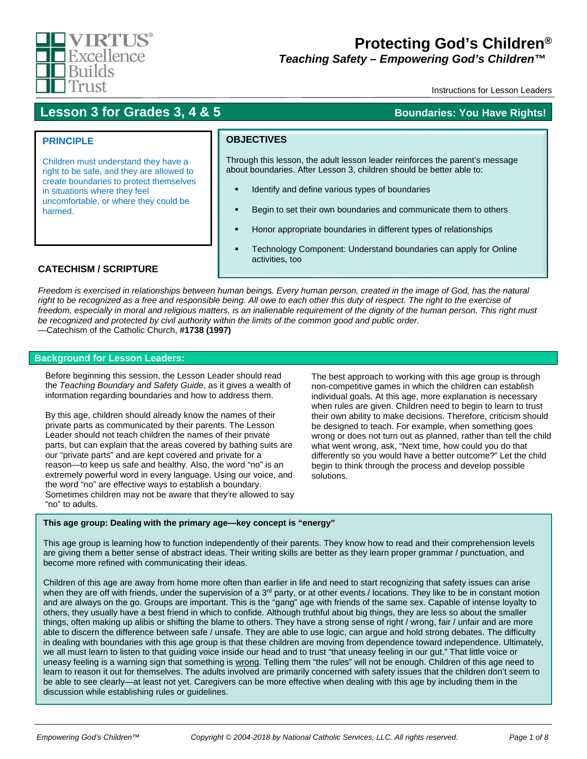

# **Protecting God's Children®**

*Teaching Safety – Empowering God's Children™™*

Instructions for Lesson Leaders

## **Lesson 3 for Grades 3, 4 & 5 Boundaries: You Have Rights!**

### **PRINCIPLE**

Children must understand they have a right to be safe, and they are allowed to create boundaries to protect themselves in situations where they feel uncomfortable, or where they could be harmed.

### **OBJECTIVES**

Through this lesson, the adult lesson leader reinforces the parent's message about boundaries. After Lesson 3, children should be better able to:

- Identify and define various types of boundaries
- Begin to set their own boundaries and communicate them to others
- Honor appropriate boundaries in different types of relationships
- Technology Component: Understand boundaries can apply for Online activities, too

### **CATECHISM / SCRIPTURE**

*Freedom is exercised in relationships between human beings. Every human person, created in the image of God, has the natural*  right to be recognized as a free and responsible being. All owe to each other this duty of respect. The right to the exercise of *freedom, especially in moral and religious matters, is an inalienable requirement of the dignity of the human person. This right must be recognized and protected by civil authority within the limits of the common good and public order.* —Catechism of the Catholic Church, **#1738 (1997)**

#### **Background for Lesson Leaders:**

Before beginning this session, the Lesson Leader should read the *Teaching Boundary and Safety Guide*, as it gives a wealth of information regarding boundaries and how to address them.

By this age, children should already know the names of their private parts as communicated by their parents. The Lesson Leader should not teach children the names of their private parts, but can explain that the areas covered by bathing suits are our "private parts" and are kept covered and private for a reason—to keep us safe and healthy. Also, the word "no" is an extremely powerful word in every language. Using our voice, and the word "no" are effective ways to establish a boundary. Sometimes children may not be aware that they're allowed to say "no" to adults.

The best approach to working with this age group is through non-competitive games in which the children can establish individual goals. At this age, more explanation is necessary when rules are given. Children need to begin to learn to trust their own ability to make decisions. Therefore, criticism should be designed to teach. For example, when something goes wrong or does not turn out as planned, rather than tell the child what went wrong, ask, "Next time, how could you do that differently so you would have a better outcome?" Let the child begin to think through the process and develop possible solutions.

#### **This age group: Dealing with the primary age—key concept is "energy"**

This age group is learning how to function independently of their parents. They know how to read and their comprehension levels are giving them a better sense of abstract ideas. Their writing skills are better as they learn proper grammar / punctuation, and become more refined with communicating their ideas.

Children of this age are away from home more often than earlier in life and need to start recognizing that safety issues can arise when they are off with friends, under the supervision of a 3<sup>rd</sup> party, or at other events / locations. They like to be in constant motion and are always on the go. Groups are important. This is the "gang" age with friends of the same sex. Capable of intense loyalty to others, they usually have a best friend in which to confide. Although truthful about big things, they are less so about the smaller things, often making up alibis or shifting the blame to others. They have a strong sense of right / wrong, fair / unfair and are more able to discern the difference between safe / unsafe. They are able to use logic, can argue and hold strong debates. The difficulty in dealing with boundaries with this age group is that these children are moving from dependence toward independence. Ultimately, we all must learn to listen to that guiding voice inside our head and to trust "that uneasy feeling in our gut." That little voice or uneasy feeling is a warning sign that something is wrong. Telling them "the rules" will not be enough. Children of this age need to learn to reason it out for themselves. The adults involved are primarily concerned with safety issues that the children don't seem to be able to see clearly—at least not yet. Caregivers can be more effective when dealing with this age by including them in the discussion while establishing rules or guidelines.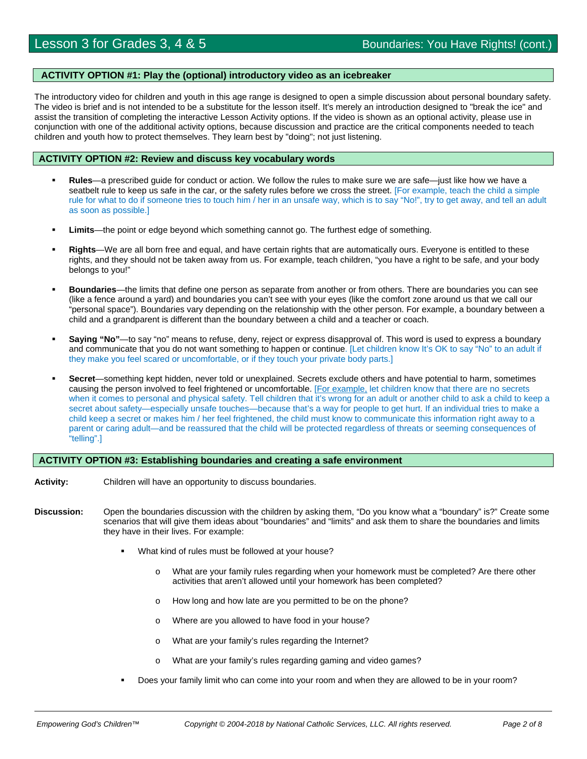#### **ACTIVITY OPTION #1: Play the (optional) introductory video as an icebreaker**

The introductory video for children and youth in this age range is designed to open a simple discussion about personal boundary safety. The video is brief and is not intended to be a substitute for the lesson itself. It's merely an introduction designed to "break the ice" and assist the transition of completing the interactive Lesson Activity options. If the video is shown as an optional activity, please use in conjunction with one of the additional activity options, because discussion and practice are the critical components needed to teach children and youth how to protect themselves. They learn best by "doing"; not just listening.

#### **ACTIVITY OPTION #2: Review and discuss key vocabulary words**

- **Rules**—a prescribed guide for conduct or action. We follow the rules to make sure we are safe—just like how we have a seatbelt rule to keep us safe in the car, or the safety rules before we cross the street. [For example, teach the child a simple rule for what to do if someone tries to touch him / her in an unsafe way, which is to say "No!", try to get away, and tell an adult as soon as possible.]
- **Limits**—the point or edge beyond which something cannot go. The furthest edge of something.
- **Rights**—We are all born free and equal, and have certain rights that are automatically ours. Everyone is entitled to these rights, and they should not be taken away from us. For example, teach children, "you have a right to be safe, and your body belongs to you!"
- **Boundaries**—the limits that define one person as separate from another or from others. There are boundaries you can see (like a fence around a yard) and boundaries you can't see with your eyes (like the comfort zone around us that we call our "personal space"). Boundaries vary depending on the relationship with the other person. For example, a boundary between a child and a grandparent is different than the boundary between a child and a teacher or coach.
- **Saying "No"**—to say "no" means to refuse, deny, reject or express disapproval of. This word is used to express a boundary and communicate that you do not want something to happen or continue. [Let children know It's OK to say "No" to an adult if they make you feel scared or uncomfortable, or if they touch your private body parts.]
- **Secret**—something kept hidden, never told or unexplained. Secrets exclude others and have potential to harm, sometimes causing the person involved to feel frightened or uncomfortable. [For example, let children know that there are no secrets when it comes to personal and physical safety. Tell children that it's wrong for an adult or another child to ask a child to keep a secret about safety—especially unsafe touches—because that's a way for people to get hurt. If an individual tries to make a child keep a secret or makes him / her feel frightened, the child must know to communicate this information right away to a parent or caring adult—and be reassured that the child will be protected regardless of threats or seeming consequences of "telling".]

#### **ACTIVITY OPTION #3: Establishing boundaries and creating a safe environment**

- **Activity:** Children will have an opportunity to discuss boundaries.
- **Discussion:** Open the boundaries discussion with the children by asking them, "Do you know what a "boundary" is?" Create some scenarios that will give them ideas about "boundaries" and "limits" and ask them to share the boundaries and limits they have in their lives. For example:
	- What kind of rules must be followed at your house?
		- What are your family rules regarding when your homework must be completed? Are there other activities that aren't allowed until your homework has been completed?
		- o How long and how late are you permitted to be on the phone?
		- o Where are you allowed to have food in your house?
		- o What are your family's rules regarding the Internet?
		- o What are your family's rules regarding gaming and video games?
	- Does your family limit who can come into your room and when they are allowed to be in your room?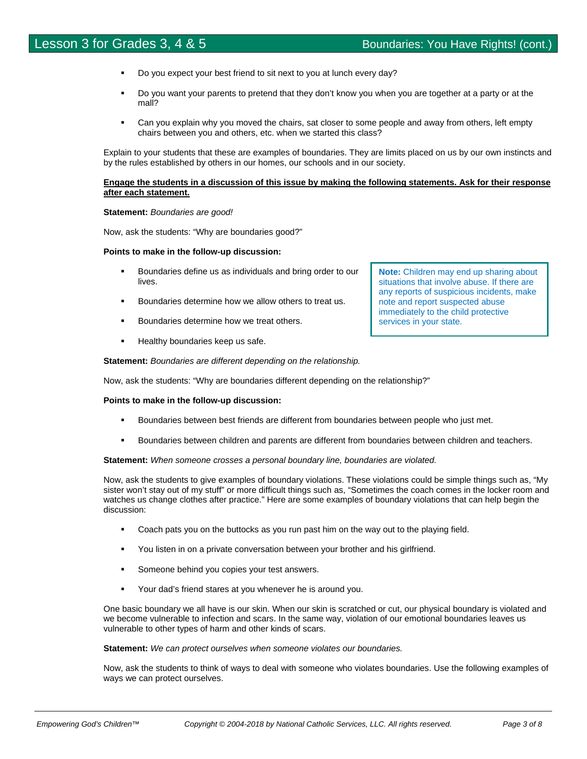- Do you expect your best friend to sit next to you at lunch every day?
- Do you want your parents to pretend that they don't know you when you are together at a party or at the mall?
- Can you explain why you moved the chairs, sat closer to some people and away from others, left empty chairs between you and others, etc. when we started this class?

Explain to your students that these are examples of boundaries. They are limits placed on us by our own instincts and by the rules established by others in our homes, our schools and in our society.

#### **Engage the students in a discussion of this issue by making the following statements. Ask for their response after each statement.**

#### **Statement:** *Boundaries are good!*

Now, ask the students: "Why are boundaries good?"

#### **Points to make in the follow-up discussion:**

- Boundaries define us as individuals and bring order to our lives.
- Boundaries determine how we allow others to treat us.
- **Boundaries determine how we treat others.**
- **Healthy boundaries keep us safe.**

**Statement:** *Boundaries are different depending on the relationship.*

Now, ask the students: "Why are boundaries different depending on the relationship?"

#### **Points to make in the follow-up discussion:**

- Boundaries between best friends are different from boundaries between people who just met.
- Boundaries between children and parents are different from boundaries between children and teachers.

**Statement:** *When someone crosses a personal boundary line, boundaries are violated.*

Now, ask the students to give examples of boundary violations. These violations could be simple things such as, "My sister won't stay out of my stuff" or more difficult things such as, "Sometimes the coach comes in the locker room and watches us change clothes after practice." Here are some examples of boundary violations that can help begin the discussion:

- Coach pats you on the buttocks as you run past him on the way out to the playing field.
- You listen in on a private conversation between your brother and his girlfriend.
- Someone behind you copies your test answers.
- Your dad's friend stares at you whenever he is around you.

One basic boundary we all have is our skin. When our skin is scratched or cut, our physical boundary is violated and we become vulnerable to infection and scars. In the same way, violation of our emotional boundaries leaves us vulnerable to other types of harm and other kinds of scars.

#### **Statement:** *We can protect ourselves when someone violates our boundaries.*

Now, ask the students to think of ways to deal with someone who violates boundaries. Use the following examples of ways we can protect ourselves.

**Note:** Children may end up sharing about situations that involve abuse. If there are any reports of suspicious incidents, make note and report suspected abuse immediately to the child protective services in your state.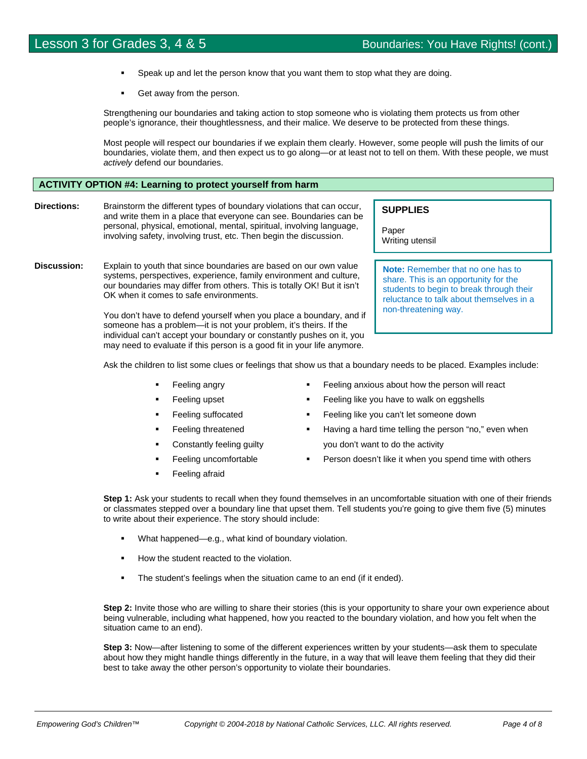- Speak up and let the person know that you want them to stop what they are doing.
- Get away from the person.

Strengthening our boundaries and taking action to stop someone who is violating them protects us from other people's ignorance, their thoughtlessness, and their malice. We deserve to be protected from these things.

Most people will respect our boundaries if we explain them clearly. However, some people will push the limits of our boundaries, violate them, and then expect us to go along—or at least not to tell on them. With these people, we must *actively* defend our boundaries.

#### **ACTIVITY OPTION #4: Learning to protect yourself from harm**

**Directions:** Brainstorm the different types of boundary violations that can occur, and write them in a place that everyone can see. Boundaries can be personal, physical, emotional, mental, spiritual, involving language, involving safety, involving trust, etc. Then begin the discussion.

**Discussion:** Explain to youth that since boundaries are based on our own value systems, perspectives, experience, family environment and culture, our boundaries may differ from others. This is totally OK! But it isn't OK when it comes to safe environments.

> You don't have to defend yourself when you place a boundary, and if someone has a problem—it is not your problem, it's theirs. If the individual can't accept your boundary or constantly pushes on it, you may need to evaluate if this person is a good fit in your life anymore.

**SUPPLIES**

Paper Writing utensil

**Note:** Remember that no one has to share. This is an opportunity for the students to begin to break through their reluctance to talk about themselves in a non-threatening way.

Ask the children to list some clues or feelings that show us that a boundary needs to be placed. Examples include:

- Feeling angry
- Feeling upset
- Feeling suffocated
- Feeling threatened
- Constantly feeling guilty
- Feeling uncomfortable
- Feeling afraid
- Feeling anxious about how the person will react
- Feeling like you have to walk on eggshells
- Feeling like you can't let someone down
- Having a hard time telling the person "no," even when you don't want to do the activity
- Person doesn't like it when you spend time with others

**Step 1:** Ask your students to recall when they found themselves in an uncomfortable situation with one of their friends or classmates stepped over a boundary line that upset them. Tell students you're going to give them five (5) minutes to write about their experience. The story should include:

- What happened—e.g., what kind of boundary violation.
- How the student reacted to the violation.
- **The student's feelings when the situation came to an end (if it ended).**

**Step 2:** Invite those who are willing to share their stories (this is your opportunity to share your own experience about being vulnerable, including what happened, how you reacted to the boundary violation, and how you felt when the situation came to an end).

**Step 3:** Now—after listening to some of the different experiences written by your students—ask them to speculate about how they might handle things differently in the future, in a way that will leave them feeling that they did their best to take away the other person's opportunity to violate their boundaries.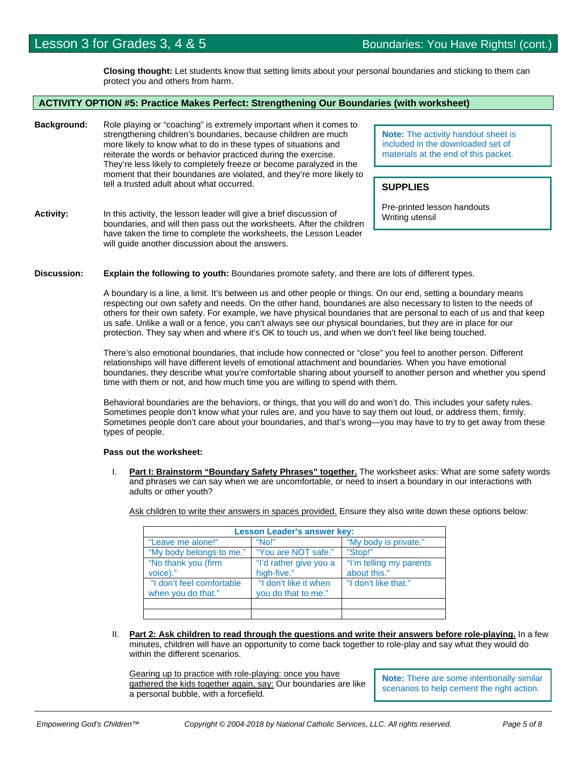**Closing thought:** Let students know that setting limits about your personal boundaries and sticking to them can protect you and others from harm.

#### **ACTIVITY OPTION #5: Practice Makes Perfect: Strengthening Our Boundaries (with worksheet)**

- **Background:** Role playing or "coaching" is extremely important when it comes to strengthening children's boundaries, because children are much more likely to know what to do in these types of situations and reiterate the words or behavior practiced during the exercise. They're less likely to completely freeze or become paralyzed in the moment that their boundaries are violated, and they're more likely to tell a trusted adult about what occurred.
- Activity: In this activity, the lesson leader will give a brief discussion of boundaries, and will then pass out the worksheets. After the children have taken the time to complete the worksheets, the Lesson Leader will guide another discussion about the answers.

**Note:** The activity handout sheet is included in the downloaded set of materials at the end of this packet.

#### **SUPPLIES**

Pre-printed lesson handouts Writing utensil

#### **Discussion: Explain the following to youth:** Boundaries promote safety, and there are lots of different types.

A boundary is a line, a limit. It's between us and other people or things. On our end, setting a boundary means respecting our own safety and needs. On the other hand, boundaries are also necessary to listen to the needs of others for their own safety. For example, we have physical boundaries that are personal to each of us and that keep us safe. Unlike a wall or a fence, you can't always see our physical boundaries, but they are in place for our protection. They say when and where it's OK to touch us, and when we don't feel like being touched.

There's also emotional boundaries, that include how connected or "close" you feel to another person. Different relationships will have different levels of emotional attachment and boundaries. When you have emotional boundaries, they describe what you're comfortable sharing about yourself to another person and whether you spend time with them or not, and how much time you are willing to spend with them.

Behavioral boundaries are the behaviors, or things, that you will do and won't do. This includes your safety rules. Sometimes people don't know what your rules are, and you have to say them out loud, or address them, firmly. Sometimes people don't care about your boundaries, and that's wrong—you may have to try to get away from these types of people.

#### **Pass out the worksheet:**

I. **Part I: Brainstorm "Boundary Safety Phrases" together.** The worksheet asks: What are some safety words and phrases we can say when we are uncomfortable, or need to insert a boundary in our interactions with adults or other youth?

Ask children to write their answers in spaces provided. Ensure they also write down these options below:

| <b>Lesson Leader's answer key:</b>              |                                              |                                         |
|-------------------------------------------------|----------------------------------------------|-----------------------------------------|
| "Leave me alone!"                               | "No!"                                        | "My body is private."                   |
| "My body belongs to me."                        | "You are NOT safe."                          | "Stop!"                                 |
| "No thank you (firm<br>voice)."                 | "I'd rather give you a<br>high-five."        | "I'm telling my parents<br>about this." |
| "I don't feel comfortable<br>when you do that." | "I don't like it when<br>you do that to me." | "I don't like that."                    |
|                                                 |                                              |                                         |
|                                                 |                                              |                                         |

II. **Part 2: Ask children to read through the questions and write their answers before role-playing.** In a few minutes, children will have an opportunity to come back together to role-play and say what they would do within the different scenarios.

Gearing up to practice with role-playing: once you have gathered the kids together again, say: Our boundaries are like a personal bubble, with a forcefield.

**Note:** There are some intentionally similar scenarios to help cement the right action.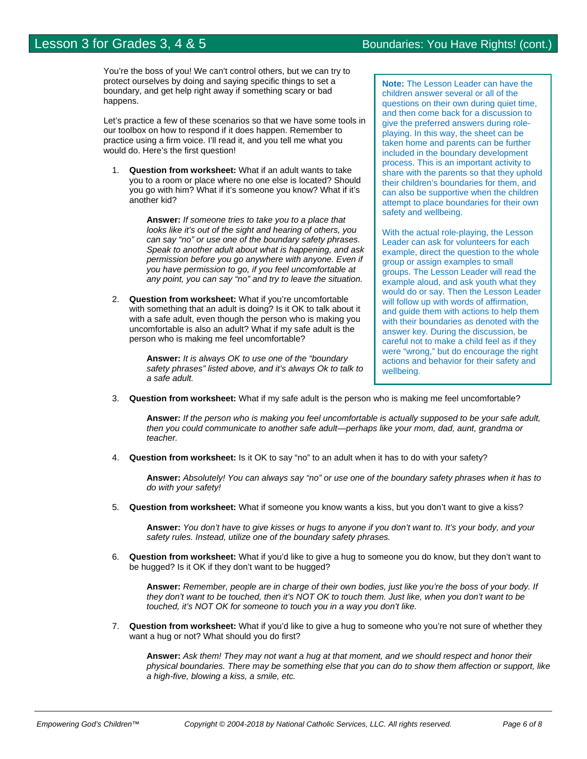You're the boss of you! We can't control others, but we can try to protect ourselves by doing and saying specific things to set a boundary, and get help right away if something scary or bad happens.

Let's practice a few of these scenarios so that we have some tools in our toolbox on how to respond if it does happen. Remember to practice using a firm voice. I'll read it, and you tell me what you would do. Here's the first question!

1. **Question from worksheet:** What if an adult wants to take you to a room or place where no one else is located? Should you go with him? What if it's someone you know? What if it's another kid?

> **Answer:** *If someone tries to take you to a place that looks like it's out of the sight and hearing of others, you can say "no" or use one of the boundary safety phrases. Speak to another adult about what is happening, and ask permission before you go anywhere with anyone. Even if you have permission to go, if you feel uncomfortable at any point, you can say "no" and try to leave the situation.*

2. **Question from worksheet:** What if you're uncomfortable with something that an adult is doing? Is it OK to talk about it with a safe adult, even though the person who is making you uncomfortable is also an adult? What if my safe adult is the person who is making me feel uncomfortable?

> **Answer:** *It is always OK to use one of the "boundary safety phrases" listed above, and it's always Ok to talk to a safe adult.*

**Note:** The Lesson Leader can have the children answer several or all of the questions on their own during quiet time, and then come back for a discussion to give the preferred answers during roleplaying. In this way, the sheet can be taken home and parents can be further included in the boundary development process. This is an important activity to share with the parents so that they uphold their children's boundaries for them, and can also be supportive when the children attempt to place boundaries for their own safety and wellbeing.

With the actual role-playing, the Lesson Leader can ask for volunteers for each example, direct the question to the whole group or assign examples to small groups. The Lesson Leader will read the example aloud, and ask youth what they would do or say. Then the Lesson Leader will follow up with words of affirmation, and guide them with actions to help them with their boundaries as denoted with the answer key. During the discussion, be careful not to make a child feel as if they were "wrong," but do encourage the right actions and behavior for their safety and wellbeing.

3. **Question from worksheet:** What if my safe adult is the person who is making me feel uncomfortable?

**Answer:** *If the person who is making you feel uncomfortable is actually supposed to be your safe adult, then you could communicate to another safe adult—perhaps like your mom, dad, aunt, grandma or teacher.*

4. **Question from worksheet:** Is it OK to say "no" to an adult when it has to do with your safety?

**Answer:** *Absolutely! You can always say "no" or use one of the boundary safety phrases when it has to do with your safety!*

5. **Question from worksheet:** What if someone you know wants a kiss, but you don't want to give a kiss?

**Answer:** *You don't have to give kisses or hugs to anyone if you don't want to. It's your body, and your safety rules. Instead, utilize one of the boundary safety phrases.* 

6. **Question from worksheet:** What if you'd like to give a hug to someone you do know, but they don't want to be hugged? Is it OK if they don't want to be hugged?

**Answer:** *Remember, people are in charge of their own bodies, just like you're the boss of your body. If they don't want to be touched, then it's NOT OK to touch them. Just like, when you don't want to be touched, it's NOT OK for someone to touch you in a way you don't like.*

7. **Question from worksheet:** What if you'd like to give a hug to someone who you're not sure of whether they want a hug or not? What should you do first?

**Answer:** *Ask them! They may not want a hug at that moment, and we should respect and honor their physical boundaries. There may be something else that you can do to show them affection or support, like a high-five, blowing a kiss, a smile, etc.*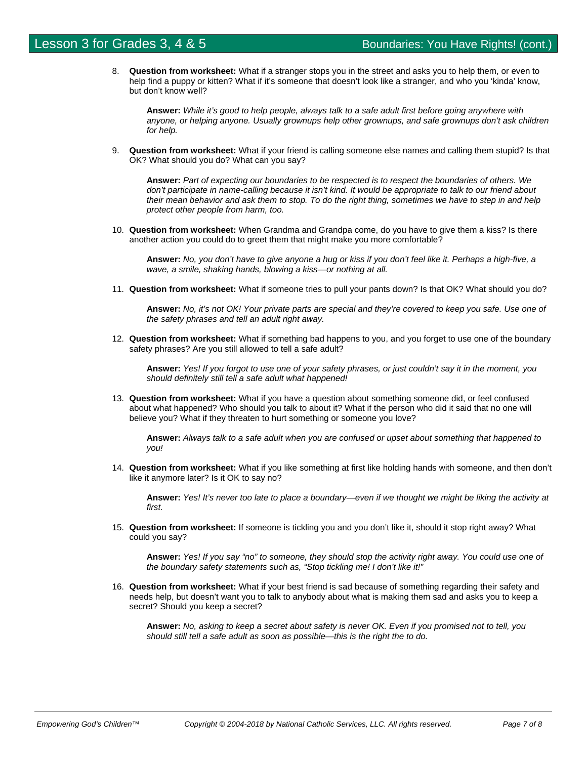8. **Question from worksheet:** What if a stranger stops you in the street and asks you to help them, or even to help find a puppy or kitten? What if it's someone that doesn't look like a stranger, and who you 'kinda' know, but don't know well?

**Answer:** *While it's good to help people, always talk to a safe adult first before going anywhere with anyone, or helping anyone. Usually grownups help other grownups, and safe grownups don't ask children for help.*

9. **Question from worksheet:** What if your friend is calling someone else names and calling them stupid? Is that OK? What should you do? What can you say?

**Answer:** *Part of expecting our boundaries to be respected is to respect the boundaries of others. We don't participate in name-calling because it isn't kind. It would be appropriate to talk to our friend about their mean behavior and ask them to stop. To do the right thing, sometimes we have to step in and help protect other people from harm, too.*

10. **Question from worksheet:** When Grandma and Grandpa come, do you have to give them a kiss? Is there another action you could do to greet them that might make you more comfortable?

**Answer:** *No, you don't have to give anyone a hug or kiss if you don't feel like it. Perhaps a high-five, a wave, a smile, shaking hands, blowing a kiss—or nothing at all.* 

11. **Question from worksheet:** What if someone tries to pull your pants down? Is that OK? What should you do?

**Answer:** *No, it's not OK! Your private parts are special and they're covered to keep you safe. Use one of the safety phrases and tell an adult right away.* 

12. **Question from worksheet:** What if something bad happens to you, and you forget to use one of the boundary safety phrases? Are you still allowed to tell a safe adult?

**Answer:** *Yes! If you forgot to use one of your safety phrases, or just couldn't say it in the moment, you should definitely still tell a safe adult what happened!*

13. **Question from worksheet:** What if you have a question about something someone did, or feel confused about what happened? Who should you talk to about it? What if the person who did it said that no one will believe you? What if they threaten to hurt something or someone you love?

**Answer:** *Always talk to a safe adult when you are confused or upset about something that happened to you!*

14. **Question from worksheet:** What if you like something at first like holding hands with someone, and then don't like it anymore later? Is it OK to say no?

**Answer:** *Yes! It's never too late to place a boundary—even if we thought we might be liking the activity at first.* 

15. **Question from worksheet:** If someone is tickling you and you don't like it, should it stop right away? What could you say?

**Answer:** *Yes! If you say "no" to someone, they should stop the activity right away. You could use one of the boundary safety statements such as, "Stop tickling me! I don't like it!"* 

16. **Question from worksheet:** What if your best friend is sad because of something regarding their safety and needs help, but doesn't want you to talk to anybody about what is making them sad and asks you to keep a secret? Should you keep a secret?

**Answer:** *No, asking to keep a secret about safety is never OK. Even if you promised not to tell, you should still tell a safe adult as soon as possible—this is the right the to do.*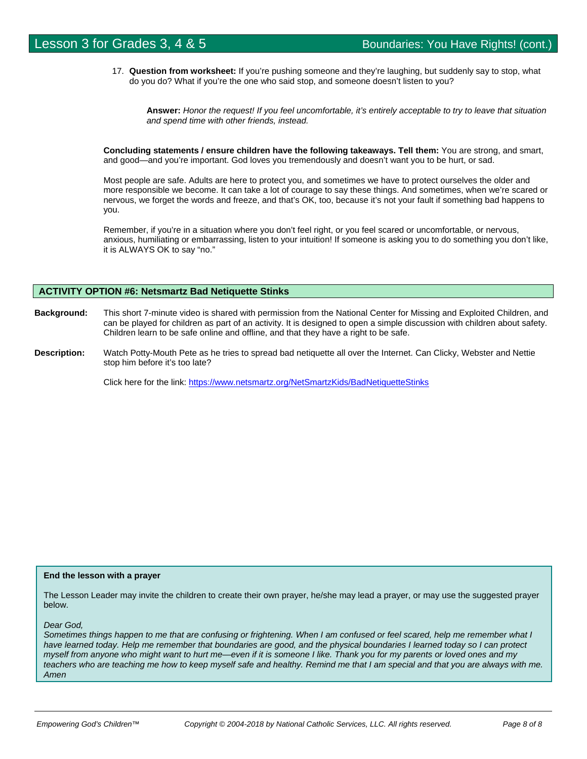17. **Question from worksheet:** If you're pushing someone and they're laughing, but suddenly say to stop, what do you do? What if you're the one who said stop, and someone doesn't listen to you?

**Answer:** *Honor the request! If you feel uncomfortable, it's entirely acceptable to try to leave that situation and spend time with other friends, instead.*

**Concluding statements / ensure children have the following takeaways. Tell them:** You are strong, and smart, and good—and you're important. God loves you tremendously and doesn't want you to be hurt, or sad.

Most people are safe. Adults are here to protect you, and sometimes we have to protect ourselves the older and more responsible we become. It can take a lot of courage to say these things. And sometimes, when we're scared or nervous, we forget the words and freeze, and that's OK, too, because it's not your fault if something bad happens to you.

Remember, if you're in a situation where you don't feel right, or you feel scared or uncomfortable, or nervous, anxious, humiliating or embarrassing, listen to your intuition! If someone is asking you to do something you don't like, it is ALWAYS OK to say "no."

#### **ACTIVITY OPTION #6: Netsmartz Bad Netiquette Stinks**

- **Background:** This short 7-minute video is shared with permission from the National Center for Missing and Exploited Children, and can be played for children as part of an activity. It is designed to open a simple discussion with children about safety. Children learn to be safe online and offline, and that they have a right to be safe.
- **Description:** Watch Potty-Mouth Pete as he tries to spread bad netiquette all over the Internet. Can Clicky, Webster and Nettie stop him before it's too late?

Click here for the link: https://www.netsmartz.org/NetSmartzKids/BadNetiquetteStinks

#### **End the lesson with a prayer**

The Lesson Leader may invite the children to create their own prayer, he/she may lead a prayer, or may use the suggested prayer below.

#### *Dear God,*

*Sometimes things happen to me that are confusing or frightening. When I am confused or feel scared, help me remember what I have learned today. Help me remember that boundaries are good, and the physical boundaries I learned today so I can protect myself from anyone who might want to hurt me—even if it is someone I like. Thank you for my parents or loved ones and my teachers who are teaching me how to keep myself safe and healthy. Remind me that I am special and that you are always with me. Amen*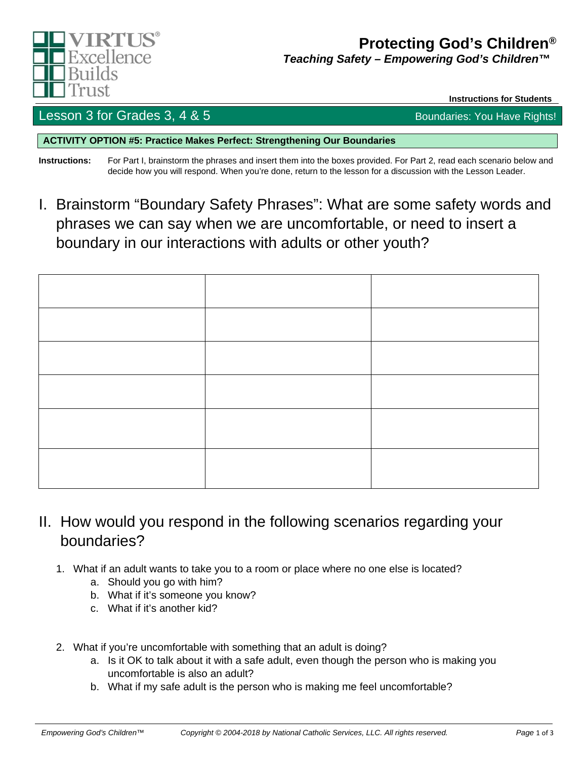

# **Protecting God's Children®**

*Teaching Safety – Empowering God's Children™™*

**Instructions for Students** 

## Lesson 3 for Grades 3,  $4 \& 5$  Boundaries: You Have Rights!

**ACTIVITY OPTION #5: Practice Makes Perfect: Strengthening Our Boundaries**

**Instructions:** For Part I, brainstorm the phrases and insert them into the boxes provided. For Part 2, read each scenario below and decide how you will respond. When you're done, return to the lesson for a discussion with the Lesson Leader.

I. Brainstorm "Boundary Safety Phrases": What are some safety words and phrases we can say when we are uncomfortable, or need to insert a boundary in our interactions with adults or other youth?

- II. How would you respond in the following scenarios regarding your boundaries?
	- 1. What if an adult wants to take you to a room or place where no one else is located?
		- a. Should you go with him?
		- b. What if it's someone you know?
		- c. What if it's another kid?
	- 2. What if you're uncomfortable with something that an adult is doing?
		- a. Is it OK to talk about it with a safe adult, even though the person who is making you uncomfortable is also an adult?
		- b. What if my safe adult is the person who is making me feel uncomfortable?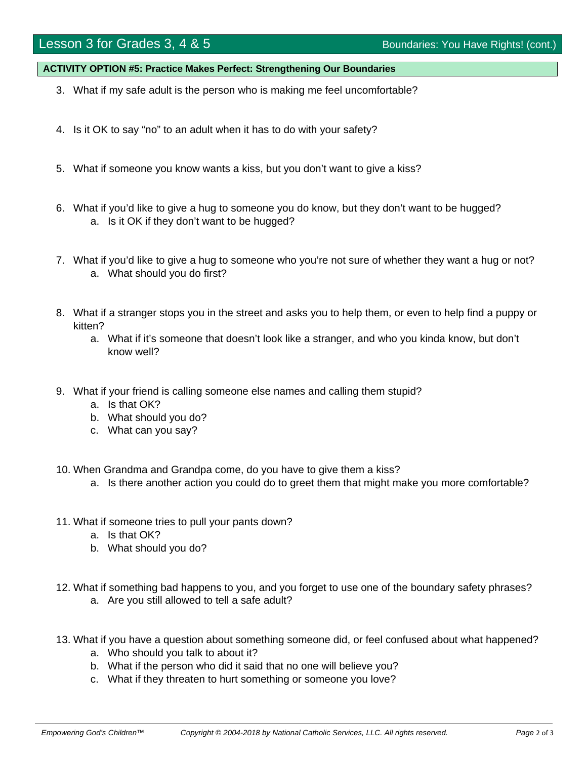# Lesson 3 for Grades 3, 4 & 5 Boundaries: You Have Rights! (cont.)

**ACTIVITY OPTION #5: Practice Makes Perfect: Strengthening Our Boundaries**

- 3. What if my safe adult is the person who is making me feel uncomfortable?
- 4. Is it OK to say "no" to an adult when it has to do with your safety?
- 5. What if someone you know wants a kiss, but you don't want to give a kiss?
- 6. What if you'd like to give a hug to someone you do know, but they don't want to be hugged? a. Is it OK if they don't want to be hugged?
- 7. What if you'd like to give a hug to someone who you're not sure of whether they want a hug or not? a. What should you do first?
- 8. What if a stranger stops you in the street and asks you to help them, or even to help find a puppy or kitten?
	- a. What if it's someone that doesn't look like a stranger, and who you kinda know, but don't know well?
- 9. What if your friend is calling someone else names and calling them stupid?
	- a. Is that OK?
	- b. What should you do?
	- c. What can you say?
- 10. When Grandma and Grandpa come, do you have to give them a kiss?
	- a. Is there another action you could do to greet them that might make you more comfortable?
- 11. What if someone tries to pull your pants down?
	- a. Is that OK?
	- b. What should you do?
- 12. What if something bad happens to you, and you forget to use one of the boundary safety phrases?
	- a. Are you still allowed to tell a safe adult?
- 13. What if you have a question about something someone did, or feel confused about what happened?
	- a. Who should you talk to about it?
	- b. What if the person who did it said that no one will believe you?
	- c. What if they threaten to hurt something or someone you love?